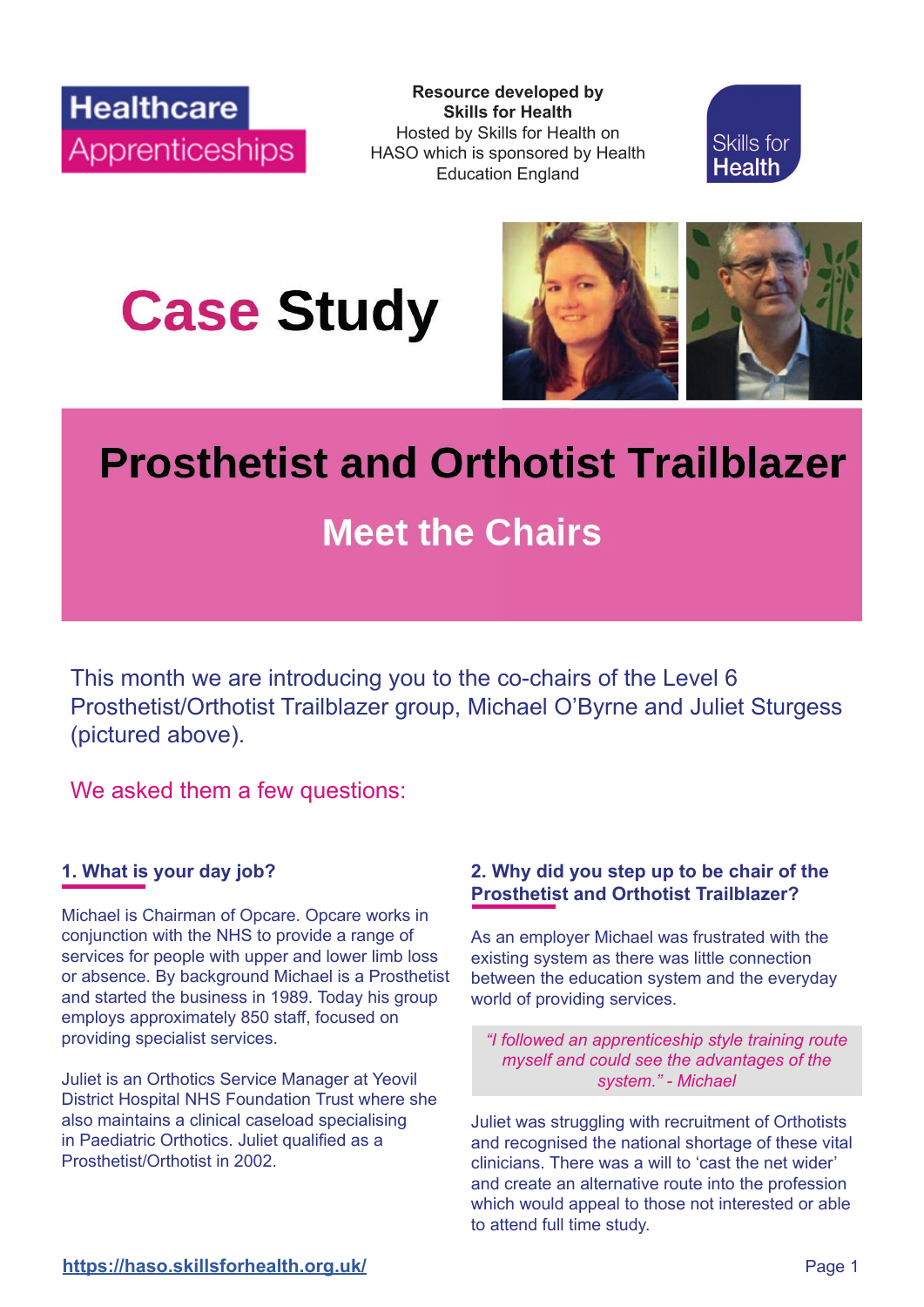**Resource developed by**<br> **Resource developed by**<br>
Skills for Health **Skills for Health** Hosted by Skills for Health on HASO which is sponsored by Health Education England



**Case Study** 



# **Prosthetist and Orthotist Trailblazer**

# **Meet the Chairs**

This month we are introducing you to the co-chairs of the Level 6 Prosthetist/Orthotist Trailblazer group, Michael O'Byrne and Juliet Sturgess (pictured above).

We asked them a few questions:

# **1. What is your day job?**

Michael is Chairman of Opcare. Opcare works in conjunction with the NHS to provide a range of services for people with upper and lower limb loss or absence. By background Michael is a Prosthetist and started the business in 1989. Today his group employs approximately 850 staff, focused on providing specialist services.

Juliet is an Orthotics Service Manager at Yeovil District Hospital NHS Foundation Trust where she also maintains a clinical caseload specialising in Paediatric Orthotics. Juliet qualified as a Prosthetist/Orthotist in 2002.

# **2. Why did you step up to be chair of the Prosthetist and Orthotist Trailblazer?**

As an employer Michael was frustrated with the existing system as there was little connection between the education system and the everyday world of providing services.

*"I followed an apprenticeship style training route myself and could see the advantages of the system." - Michael*

Juliet was struggling with recruitment of Orthotists and recognised the national shortage of these vital clinicians. There was a will to 'cast the net wider' and create an alternative route into the profession which would appeal to those not interested or able to attend full time study.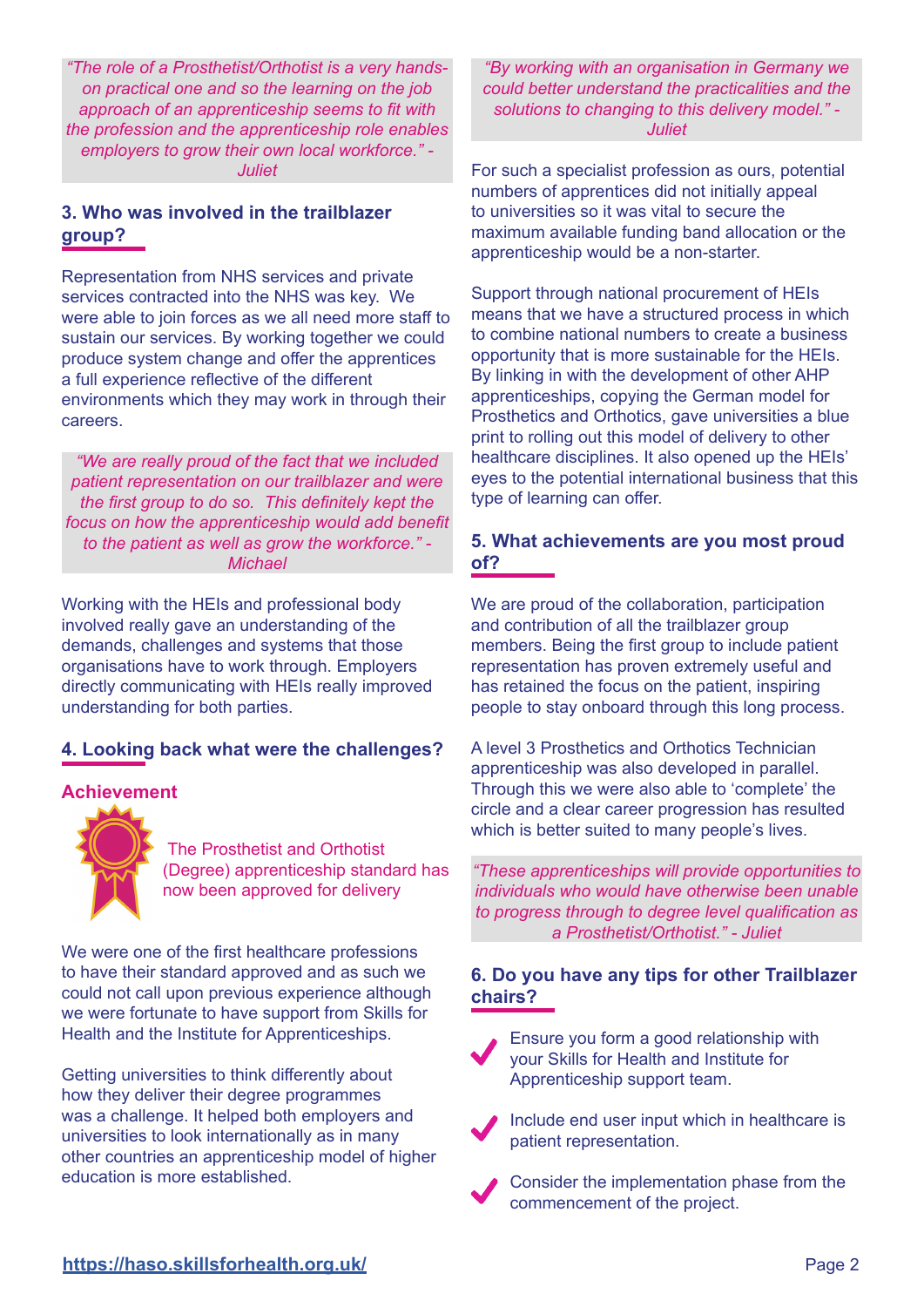*"The role of a Prosthetist/Orthotist is a very handson practical one and so the learning on the job*  approach of an apprenticeship seems to fit with *the profession and the apprenticeship role enables employers to grow their own local workforce." - Juliet*

# **3. Who was involved in the trailblazer group?**

Representation from NHS services and private services contracted into the NHS was key. We were able to join forces as we all need more staff to sustain our services. By working together we could produce system change and offer the apprentices a full experience reflective of the different environments which they may work in through their careers.

*"We are really proud of the fact that we included patient representation on our trailblazer and were the first group to do so. This definitely kept the* focus on how the apprenticeship would add benefit *to the patient as well as grow the workforce." - Michael*

Working with the HEIs and professional body involved really gave an understanding of the demands, challenges and systems that those organisations have to work through. Employers directly communicating with HEIs really improved understanding for both parties.

# **4. Looking back what were the challenges?**

#### **Achievement**

The Prosthetist and Orthotist (Degree) apprenticeship standard has now been approved for delivery

We were one of the first healthcare professions to have their standard approved and as such we could not call upon previous experience although we were fortunate to have support from Skills for Health and the Institute for Apprenticeships.

Getting universities to think differently about how they deliver their degree programmes was a challenge. It helped both employers and universities to look internationally as in many other countries an apprenticeship model of higher education is more established.

*"By working with an organisation in Germany we could better understand the practicalities and the solutions to changing to this delivery model." - Juliet*

For such a specialist profession as ours, potential numbers of apprentices did not initially appeal to universities so it was vital to secure the maximum available funding band allocation or the apprenticeship would be a non-starter.

Support through national procurement of HEIs means that we have a structured process in which to combine national numbers to create a business opportunity that is more sustainable for the HEIs. By linking in with the development of other AHP apprenticeships, copying the German model for Prosthetics and Orthotics, gave universities a blue print to rolling out this model of delivery to other healthcare disciplines. It also opened up the HEIs' eyes to the potential international business that this type of learning can offer.

### **5. What achievements are you most proud of?**

We are proud of the collaboration, participation and contribution of all the trailblazer group members. Being the first group to include patient representation has proven extremely useful and has retained the focus on the patient, inspiring people to stay onboard through this long process.

A level 3 Prosthetics and Orthotics Technician apprenticeship was also developed in parallel. Through this we were also able to 'complete' the circle and a clear career progression has resulted which is better suited to many people's lives.

*"These apprenticeships will provide opportunities to individuals who would have otherwise been unable*  to progress through to degree level qualification as *a Prosthetist/Orthotist." - Juliet*

# **6. Do you have any tips for other Trailblazer chairs?**



Ensure you form a good relationship with your Skills for Health and Institute for Apprenticeship support team.

 Include end user input which in healthcare is patient representation.

 Consider the implementation phase from the commencement of the project.